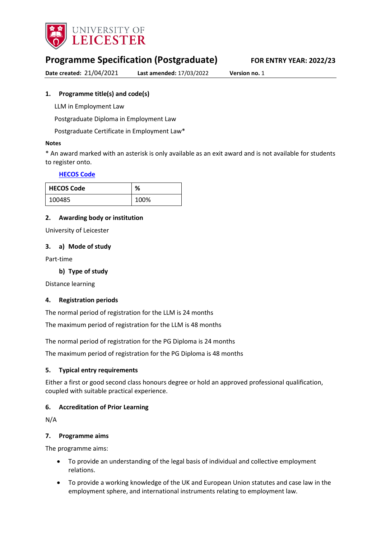

# **Programme Specification (Postgraduate) FOR ENTRY YEAR: 2022/23**

**Date created:** 21/04/2021 **Last amended:** 17/03/2022 **Version no.** 1

# <span id="page-0-0"></span>**1. Programme title(s) and code(s)**

LLM in Employment Law

Postgraduate Diploma in Employment Law

Postgraduate Certificate in Employment Law\*

### **Notes**

\* An award marked with an asterisk is only available as an exit award and is not available for students to register onto.

# **[HECOS Code](https://www.hesa.ac.uk/innovation/hecos)**

| <b>HECOS Code</b> | ℅    |
|-------------------|------|
| 100485            | 100% |

# **2. Awarding body or institution**

University of Leicester

### **3. a) Mode of study**

Part-time

# **b) Type of study**

Distance learning

# **4. Registration periods**

The normal period of registration for the LLM is 24 months

The maximum period of registration for the LLM is 48 months

The normal period of registration for the PG Diploma is 24 months

The maximum period of registration for the PG Diploma is 48 months

# **5. Typical entry requirements**

Either a first or good second class honours degree or hold an approved professional qualification, coupled with suitable practical experience.

### **6. Accreditation of Prior Learning**

N/A

### **7. Programme aims**

The programme aims:

- To provide an understanding of the legal basis of individual and collective employment relations.
- To provide a working knowledge of the UK and European Union statutes and case law in the employment sphere, and international instruments relating to employment law.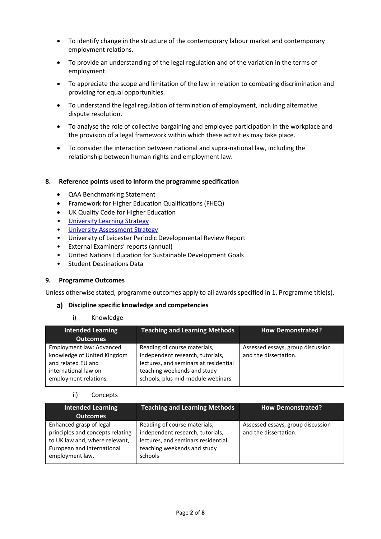- To identify change in the structure of the contemporary labour market and contemporary employment relations.
- To provide an understanding of the legal regulation and of the variation in the terms of employment.
- To appreciate the scope and limitation of the law in relation to combating discrimination and providing for equal opportunities.
- To understand the legal regulation of termination of employment, including alternative dispute resolution.
- To analyse the role of collective bargaining and employee participation in the workplace and the provision of a legal framework within which these activities may take place.
- To consider the interaction between national and supra-national law, including the relationship between human rights and employment law.

### **8. Reference points used to inform the programme specification**

- QAA Benchmarking Statement
- Framework for Higher Education Qualifications (FHEQ)
- UK Quality Code for Higher Education
- [University Learning](https://www2.le.ac.uk/offices/sas2/quality/learnteach) Strategy
- [University Assessment Strategy](https://www2.le.ac.uk/offices/sas2/quality/learnteach)
- University of Leicester Periodic Developmental Review Report
- External Examiners' reports (annual)
- United Nations Education for Sustainable Development Goals
- Student Destinations Data

### **9. Programme Outcomes**

Unless otherwise stated, programme outcomes apply to all awards specified in [1.](#page-0-0) Programme title(s).

### **Discipline specific knowledge and competencies**

#### i) Knowledge

| <b>Intended Learning</b><br><b>Outcomes</b>                                                                                    | <b>Teaching and Learning Methods</b>                                                                                                                                          | <b>How Demonstrated?</b>                                   |
|--------------------------------------------------------------------------------------------------------------------------------|-------------------------------------------------------------------------------------------------------------------------------------------------------------------------------|------------------------------------------------------------|
| Employment law: Advanced<br>knowledge of United Kingdom<br>and related EU and<br>international law on<br>employment relations. | Reading of course materials,<br>independent research, tutorials,<br>lectures, and seminars at residential<br>teaching weekends and study<br>schools, plus mid-module webinars | Assessed essays, group discussion<br>and the dissertation. |

#### ii) Concepts

| <b>Intended Learning</b><br><b>Outcomes</b>                                                                                                    | <b>Teaching and Learning Methods</b>                                                                                                             | <b>How Demonstrated?</b>                                   |
|------------------------------------------------------------------------------------------------------------------------------------------------|--------------------------------------------------------------------------------------------------------------------------------------------------|------------------------------------------------------------|
| Enhanced grasp of legal<br>principles and concepts relating<br>to UK law and, where relevant,<br>European and international<br>employment law. | Reading of course materials,<br>independent research, tutorials,<br>lectures, and seminars residential<br>teaching weekends and study<br>schools | Assessed essays, group discussion<br>and the dissertation. |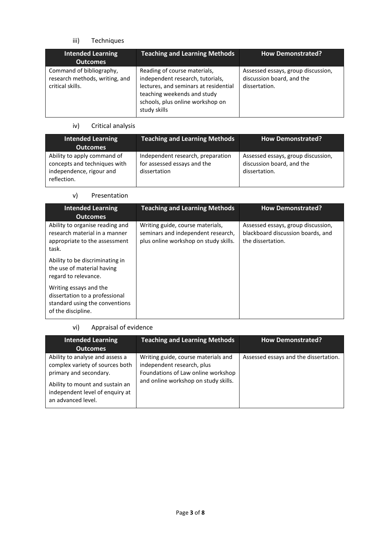# iii) Techniques

| <b>Intended Learning</b><br><b>Outcomes</b>                                    | <b>Teaching and Learning Methods</b>                                                                                                                                                         | <b>How Demonstrated?</b>                                                         |
|--------------------------------------------------------------------------------|----------------------------------------------------------------------------------------------------------------------------------------------------------------------------------------------|----------------------------------------------------------------------------------|
| Command of bibliography,<br>research methods, writing, and<br>critical skills. | Reading of course materials,<br>independent research, tutorials,<br>lectures, and seminars at residential<br>teaching weekends and study<br>schools, plus online workshop on<br>study skills | Assessed essays, group discussion,<br>discussion board, and the<br>dissertation. |

# iv) Critical analysis

| <b>Intended Learning</b><br><b>Outcomes</b>                                                            | <b>Teaching and Learning Methods</b>                                             | <b>How Demonstrated?</b>                                                         |
|--------------------------------------------------------------------------------------------------------|----------------------------------------------------------------------------------|----------------------------------------------------------------------------------|
| Ability to apply command of<br>concepts and techniques with<br>independence, rigour and<br>reflection. | Independent research, preparation<br>for assessed essays and the<br>dissertation | Assessed essays, group discussion,<br>discussion board, and the<br>dissertation. |

### v) Presentation

| <b>Intended Learning</b><br><b>Outcomes</b>                                                                      | <b>Teaching and Learning Methods</b>                                                                            | <b>How Demonstrated?</b>                                                                     |
|------------------------------------------------------------------------------------------------------------------|-----------------------------------------------------------------------------------------------------------------|----------------------------------------------------------------------------------------------|
| Ability to organise reading and<br>research material in a manner<br>appropriate to the assessment<br>task.       | Writing guide, course materials,<br>seminars and independent research,<br>plus online workshop on study skills. | Assessed essays, group discussion,<br>blackboard discussion boards, and<br>the dissertation. |
| Ability to be discriminating in<br>the use of material having<br>regard to relevance.                            |                                                                                                                 |                                                                                              |
| Writing essays and the<br>dissertation to a professional<br>standard using the conventions<br>of the discipline. |                                                                                                                 |                                                                                              |

# vi) Appraisal of evidence

| <b>Intended Learning</b><br><b>Outcomes</b>                                                                                                                                              | <b>Teaching and Learning Methods</b>                                                                                                            | <b>How Demonstrated?</b>              |
|------------------------------------------------------------------------------------------------------------------------------------------------------------------------------------------|-------------------------------------------------------------------------------------------------------------------------------------------------|---------------------------------------|
| Ability to analyse and assess a<br>complex variety of sources both<br>primary and secondary.<br>Ability to mount and sustain an<br>independent level of enquiry at<br>an advanced level. | Writing guide, course materials and<br>independent research, plus<br>Foundations of Law online workshop<br>and online workshop on study skills. | Assessed essays and the dissertation. |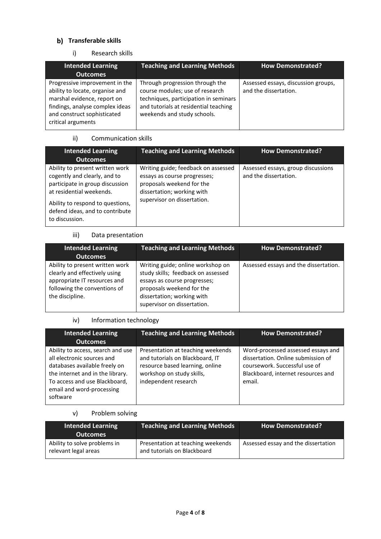# **Transferable skills**

### i) Research skills

| <b>Intended Learning</b><br><b>Outcomes</b>                                                                                                                                              | <b>Teaching and Learning Methods</b>                                                                                                                                                | <b>How Demonstrated?</b>                                     |
|------------------------------------------------------------------------------------------------------------------------------------------------------------------------------------------|-------------------------------------------------------------------------------------------------------------------------------------------------------------------------------------|--------------------------------------------------------------|
| Progressive improvement in the<br>ability to locate, organise and<br>marshal evidence, report on<br>findings, analyse complex ideas<br>and construct sophisticated<br>critical arguments | Through progression through the<br>course modules; use of research<br>techniques, participation in seminars<br>and tutorials at residential teaching<br>weekends and study schools. | Assessed essays, discussion groups,<br>and the dissertation. |

### ii) Communication skills

| <b>Intended Learning</b><br><b>Outcomes</b>                                                                                                                                                                             | <b>Teaching and Learning Methods</b>                                                                                                                          | <b>How Demonstrated?</b>                                    |
|-------------------------------------------------------------------------------------------------------------------------------------------------------------------------------------------------------------------------|---------------------------------------------------------------------------------------------------------------------------------------------------------------|-------------------------------------------------------------|
| Ability to present written work<br>cogently and clearly, and to<br>participate in group discussion<br>at residential weekends.<br>Ability to respond to questions,<br>defend ideas, and to contribute<br>to discussion. | Writing guide; feedback on assessed<br>essays as course progresses;<br>proposals weekend for the<br>dissertation; working with<br>supervisor on dissertation. | Assessed essays, group discussions<br>and the dissertation. |

### iii) Data presentation

| <b>Intended Learning</b><br><b>Outcomes</b>                                                                                                         | <b>Teaching and Learning Methods</b>                                                                                                                                                              | <b>How Demonstrated?</b>              |
|-----------------------------------------------------------------------------------------------------------------------------------------------------|---------------------------------------------------------------------------------------------------------------------------------------------------------------------------------------------------|---------------------------------------|
| Ability to present written work<br>clearly and effectively using<br>appropriate IT resources and<br>following the conventions of<br>the discipline. | Writing guide; online workshop on<br>study skills; feedback on assessed<br>essays as course progresses;<br>proposals weekend for the<br>dissertation; working with<br>supervisor on dissertation. | Assessed essays and the dissertation. |

# iv) Information technology

| <b>Intended Learning</b>                                                                                                                                                                                       | <b>Teaching and Learning Methods</b>                                                                                                                         | <b>How Demonstrated?</b>                                                                                                                                  |
|----------------------------------------------------------------------------------------------------------------------------------------------------------------------------------------------------------------|--------------------------------------------------------------------------------------------------------------------------------------------------------------|-----------------------------------------------------------------------------------------------------------------------------------------------------------|
| Outcomes                                                                                                                                                                                                       |                                                                                                                                                              |                                                                                                                                                           |
| Ability to access, search and use<br>all electronic sources and<br>databases available freely on<br>the internet and in the library.<br>To access and use Blackboard,<br>email and word-processing<br>software | Presentation at teaching weekends<br>and tutorials on Blackboard, IT<br>resource based learning, online<br>workshop on study skills,<br>independent research | Word-processed assessed essays and<br>dissertation. Online submission of<br>coursework. Successful use of<br>Blackboard, internet resources and<br>email. |

# v) Problem solving

| <b>Intended Learning</b><br><b>Outcomes</b>          | <b>Teaching and Learning Methods</b>                             | <b>How Demonstrated?</b>            |
|------------------------------------------------------|------------------------------------------------------------------|-------------------------------------|
| Ability to solve problems in<br>relevant legal areas | Presentation at teaching weekends<br>and tutorials on Blackboard | Assessed essay and the dissertation |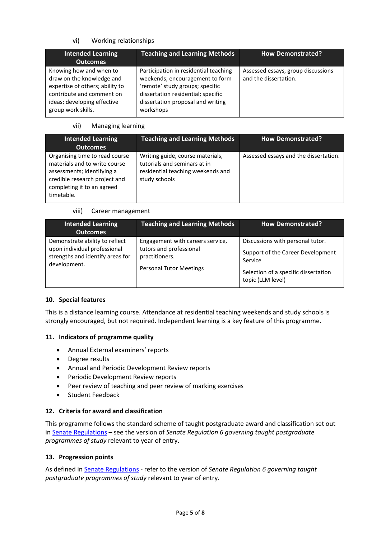# vi) Working relationships

| <b>Intended Learning</b><br><b>Outcomes</b>                                                                                                                               | <b>Teaching and Learning Methods</b>                                                                                                                                                                | <b>How Demonstrated?</b>                                    |
|---------------------------------------------------------------------------------------------------------------------------------------------------------------------------|-----------------------------------------------------------------------------------------------------------------------------------------------------------------------------------------------------|-------------------------------------------------------------|
| Knowing how and when to<br>draw on the knowledge and<br>expertise of others; ability to<br>contribute and comment on<br>ideas; developing effective<br>group work skills. | Participation in residential teaching<br>weekends; encouragement to form<br>'remote' study groups; specific<br>dissertation residential; specific<br>dissertation proposal and writing<br>workshops | Assessed essays, group discussions<br>and the dissertation. |

### vii) Managing learning

| <b>Intended Learning</b><br><b>Outcomes</b>                                                                                                                                | <b>Teaching and Learning Methods</b>                                                                                   | <b>How Demonstrated?</b>              |
|----------------------------------------------------------------------------------------------------------------------------------------------------------------------------|------------------------------------------------------------------------------------------------------------------------|---------------------------------------|
| Organising time to read course<br>materials and to write course<br>assessments; identifying a<br>credible research project and<br>completing it to an agreed<br>timetable. | Writing guide, course materials,<br>tutorials and seminars at in<br>residential teaching weekends and<br>study schools | Assessed essays and the dissertation. |

### viii) Career management

| <b>Intended Learning</b><br><b>Outcomes</b>                                                                        | <b>Teaching and Learning Methods</b>                                                                            | <b>How Demonstrated?</b>                                                                                                                      |
|--------------------------------------------------------------------------------------------------------------------|-----------------------------------------------------------------------------------------------------------------|-----------------------------------------------------------------------------------------------------------------------------------------------|
| Demonstrate ability to reflect<br>upon individual professional<br>strengths and identify areas for<br>development. | Engagement with careers service,<br>tutors and professional<br>practitioners.<br><b>Personal Tutor Meetings</b> | Discussions with personal tutor.<br>Support of the Career Development<br>Service<br>Selection of a specific dissertation<br>topic (LLM level) |

# **10. Special features**

This is a distance learning course. Attendance at residential teaching weekends and study schools is strongly encouraged, but not required. Independent learning is a key feature of this programme.

### **11. Indicators of programme quality**

- Annual External examiners' reports
- Degree results
- Annual and Periodic Development Review reports
- Periodic Development Review reports
- Peer review of teaching and peer review of marking exercises
- Student Feedback

# **12. Criteria for award and classification**

This programme follows the standard scheme of taught postgraduate award and classification set out i[n Senate Regulations](http://www.le.ac.uk/senate-regulations) – see the version of *Senate Regulation 6 governing taught postgraduate programmes of study* relevant to year of entry.

### **13. Progression points**

As defined i[n Senate Regulations](http://www.le.ac.uk/senate-regulation6) - refer to the version of *Senate Regulation 6 governing taught postgraduate programmes of study* relevant to year of entry.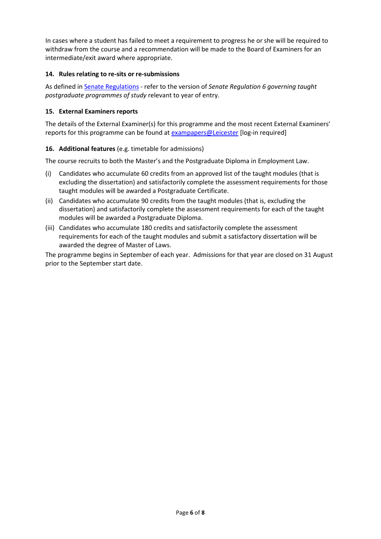In cases where a student has failed to meet a requirement to progress he or she will be required to withdraw from the course and a recommendation will be made to the Board of Examiners for an intermediate/exit award where appropriate.

### **14. Rules relating to re-sits or re-submissions**

As defined i[n Senate Regulations](http://www.le.ac.uk/senate-regulation6) - refer to the version of *Senate Regulation 6 governing taught postgraduate programmes of study* relevant to year of entry.

### **15. External Examiners reports**

The details of the External Examiner(s) for this programme and the most recent External Examiners' reports for this programme can be found at **exampapers@Leicester** [log-in required]

# **16. Additional features** (e.g. timetable for admissions)

The course recruits to both the Master's and the Postgraduate Diploma in Employment Law.

- (i) Candidates who accumulate 60 credits from an approved list of the taught modules (that is excluding the dissertation) and satisfactorily complete the assessment requirements for those taught modules will be awarded a Postgraduate Certificate.
- (ii) Candidates who accumulate 90 credits from the taught modules (that is, excluding the dissertation) and satisfactorily complete the assessment requirements for each of the taught modules will be awarded a Postgraduate Diploma.
- (iii) Candidates who accumulate 180 credits and satisfactorily complete the assessment requirements for each of the taught modules and submit a satisfactory dissertation will be awarded the degree of Master of Laws.

The programme begins in September of each year. Admissions for that year are closed on 31 August prior to the September start date.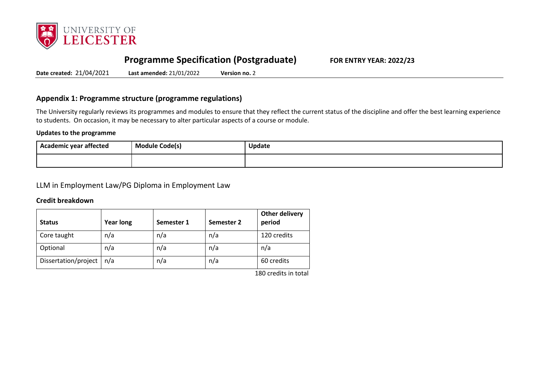

# **Programme Specification (Postgraduate) FOR ENTRY YEAR: 2022/23**

**Date created:** 21/04/2021 **Last amended:** 21/01/2022 **Version no.** 2

# **Appendix 1: Programme structure (programme regulations)**

The University regularly reviews its programmes and modules to ensure that they reflect the current status of the discipline and offer the best learning experience to students. On occasion, it may be necessary to alter particular aspects of a course or module.

### **Updates to the programme**

| Academic year affected | . .<br><b>Module Code(s)</b> | Update |
|------------------------|------------------------------|--------|
|                        |                              |        |

# LLM in Employment Law/PG Diploma in Employment Law

### **Credit breakdown**

| <b>Status</b>        | <b>Year long</b> | Semester 1 | Semester 2 | <b>Other delivery</b><br>period |
|----------------------|------------------|------------|------------|---------------------------------|
| Core taught          | n/a              | n/a        | n/a        | 120 credits                     |
| Optional             | n/a              | n/a        | n/a        | n/a                             |
| Dissertation/project | n/a              | n/a        | n/a        | 60 credits                      |

180 credits in total